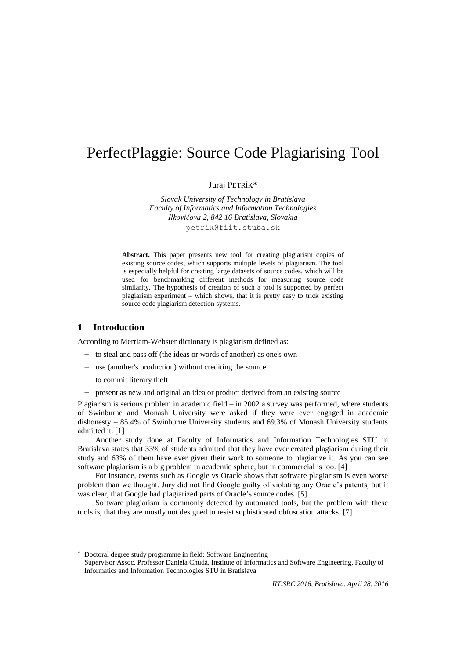# PerfectPlaggie: Source Code Plagiarising Tool

Juraj PETRÍK\*

*Slovak University of Technology in Bratislava Faculty of Informatics and Information Technologies Ilkovičova 2, 842 16 Bratislava, Slovakia* petrik@fiit.stuba.sk

Abstract. This paper presents new tool for creating plagiarism copies of existing source codes, which supports multiple levels of plagiarism. The tool is especially helpful for creating large datasets of source codes, which will be used for benchmarking different methods for measuring source code similarity. The hypothesis of creation of such a tool is supported by perfect plagiarism experiment – which shows, that it is pretty easy to trick existing source code plagiarism detection systems.

#### **1 Introduction**

l

According to Merriam-Webster dictionary is plagiarism defined as:

- to steal and pass off (the ideas or words of another) as one's own
- use (another's production) without crediting the source
- $-$  to commit literary theft
- present as new and original an idea or product derived from an existing source

Plagiarism is serious problem in academic field  $-$  in 2002 a survey was performed, where students of Swinburne and Monash University were asked if they were ever engaged in academic dishonesty – 85.4% of Swinburne University students and 69.3% of Monash University students admitted it. [\[1\]](#page-6-0)

Another study done at Faculty of Informatics and Information Technologies STU in Bratislava states that 33% of students admitted that they have ever created plagiarism during their study and 63% of them have ever given their work to someone to plagiarize it. As you can see software plagiarism is a big problem in academic sphere, but in commercial is too. [\[4\]](#page-6-1)

For instance, events such as Google vs Oracle shows that software plagiarism is even worse problem than we thought. Jury did not find Google guilty of violating any Oracle's patents, but it was clear, that Google had plagiarized parts of Oracle's source codes. [\[5\]](#page-6-2)

Software plagiarism is commonly detected by automated tools, but the problem with these tools is, that they are mostly not designed to resist sophisticated obfuscation attacks. [\[7\]](#page-6-3)

Doctoral degree study programme in field: Software Engineering

Supervisor Assoc. Professor Daniela Chudá, Institute of Informatics and Software Engineering, Faculty of Informatics and Information Technologies STU in Bratislava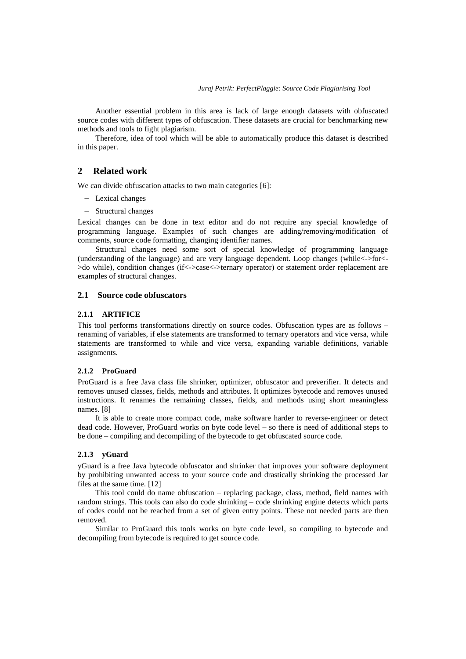Another essential problem in this area is lack of large enough datasets with obfuscated source codes with different types of obfuscation. These datasets are crucial for benchmarking new methods and tools to fight plagiarism.

Therefore, idea of tool which will be able to automatically produce this dataset is described in this paper.

#### **2 Related work**

We can divide obfuscation attacks to two main categories [\[6\]:](#page-6-4)

- Lexical changes
- Structural changes

Lexical changes can be done in text editor and do not require any special knowledge of programming language. Examples of such changes are adding/removing/modification of comments, source code formatting, changing identifier names.

Structural changes need some sort of special knowledge of programming language (understanding of the language) and are very language dependent. Loop changes (while<->for<- >do while), condition changes (if<->case<->ternary operator) or statement order replacement are examples of structural changes.

## **2.1 Source code obfuscators**

#### **2.1.1 ARTIFICE**

This tool performs transformations directly on source codes. Obfuscation types are as follows – renaming of variables, if else statements are transformed to ternary operators and vice versa, while statements are transformed to while and vice versa, expanding variable definitions, variable assignments.

#### **2.1.2 ProGuard**

ProGuard is a free Java class file shrinker, optimizer, obfuscator and preverifier. It detects and removes unused classes, fields, methods and attributes. It optimizes bytecode and removes unused instructions. It renames the remaining classes, fields, and methods using short meaningless names. [\[8\]](#page-6-5)

It is able to create more compact code, make software harder to reverse-engineer or detect dead code. However, ProGuard works on byte code level – so there is need of additional steps to be done – compiling and decompiling of the bytecode to get obfuscated source code.

#### **2.1.3 yGuard**

yGuard is a free Java bytecode obfuscator and shrinker that improves your software deployment by prohibiting unwanted access to your source code and drastically shrinking the processed Jar files at the same time. [\[12\]](#page-6-6)

This tool could do name obfuscation – replacing package, class, method, field names with random strings. This tools can also do code shrinking – code shrinking engine detects which parts of codes could not be reached from a set of given entry points. These not needed parts are then removed.

Similar to ProGuard this tools works on byte code level, so compiling to bytecode and decompiling from bytecode is required to get source code.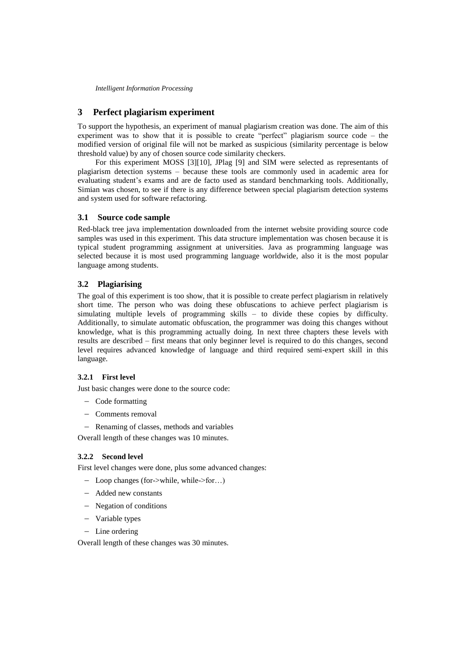*Intelligent Information Processing*

# **3 Perfect plagiarism experiment**

To support the hypothesis, an experiment of manual plagiarism creation was done. The aim of this experiment was to show that it is possible to create "perfect" plagiarism source code – the modified version of original file will not be marked as suspicious (similarity percentage is below threshold value) by any of chosen source code similarity checkers.

For this experiment MOSS [\[3\]\[10\],](#page-6-7) JPlag [\[9\]](#page-6-8) and SIM were selected as representants of plagiarism detection systems – because these tools are commonly used in academic area for evaluating student's exams and are de facto used as standard benchmarking tools. Additionally, Simian was chosen, to see if there is any difference between special plagiarism detection systems and system used for software refactoring.

## **3.1 Source code sample**

Red-black tree java implementation downloaded from the internet website providing source code samples was used in this experiment. This data structure implementation was chosen because it is typical student programming assignment at universities. Java as programming language was selected because it is most used programming language worldwide, also it is the most popular language among students.

# **3.2 Plagiarising**

The goal of this experiment is too show, that it is possible to create perfect plagiarism in relatively short time. The person who was doing these obfuscations to achieve perfect plagiarism is simulating multiple levels of programming skills  $-$  to divide these copies by difficulty. Additionally, to simulate automatic obfuscation, the programmer was doing this changes without knowledge, what is this programming actually doing. In next three chapters these levels with results are described – first means that only beginner level is required to do this changes, second level requires advanced knowledge of language and third required semi-expert skill in this language.

## **3.2.1 First level**

Just basic changes were done to the source code:

- Code formatting
- Comments removal
- Renaming of classes, methods and variables

Overall length of these changes was 10 minutes.

## **3.2.2 Second level**

First level changes were done, plus some advanced changes:

- Loop changes (for->while, while->for…)
- Added new constants
- Negation of conditions
- Variable types
- Line ordering

Overall length of these changes was 30 minutes.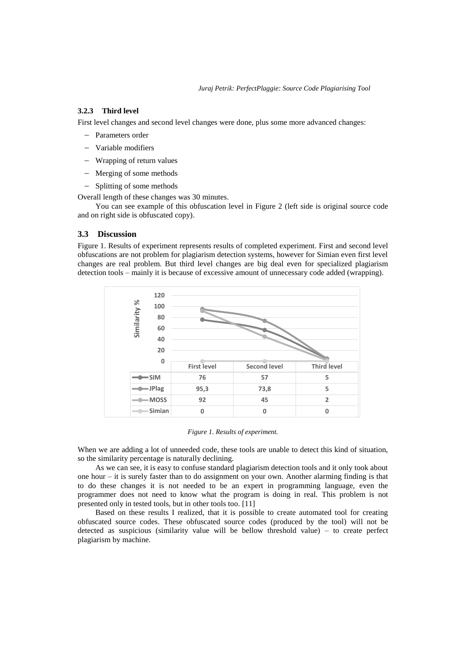# **3.2.3 Third level**

First level changes and second level changes were done, plus some more advanced changes:

- Parameters order
- Variable modifiers
- Wrapping of return values
- Merging of some methods
- Splitting of some methods

Overall length of these changes was 30 minutes.

You can see example of this obfuscation level in [Figure 2](#page-4-0) (left side is original source code and on right side is obfuscated copy).

#### **3.3 Discussion**

Figure 1. [Results of experiment](#page-3-0) represents results of completed experiment. First and second level obfuscations are not problem for plagiarism detection systems, however for Simian even first level changes are real problem. But third level changes are big deal even for specialized plagiarism detection tools – mainly it is because of excessive amount of unnecessary code added (wrapping).



#### *Figure 1. Results of experiment.*

<span id="page-3-0"></span>When we are adding a lot of unneeded code, these tools are unable to detect this kind of situation, so the similarity percentage is naturally declining.

As we can see, it is easy to confuse standard plagiarism detection tools and it only took about one hour – it is surely faster than to do assignment on your own. Another alarming finding is that to do these changes it is not needed to be an expert in programming language, even the programmer does not need to know what the program is doing in real. This problem is not presented only in tested tools, but in other tools too. [\[11\]](#page-6-9)

Based on these results I realized, that it is possible to create automated tool for creating obfuscated source codes. These obfuscated source codes (produced by the tool) will not be detected as suspicious (similarity value will be bellow threshold value) – to create perfect plagiarism by machine.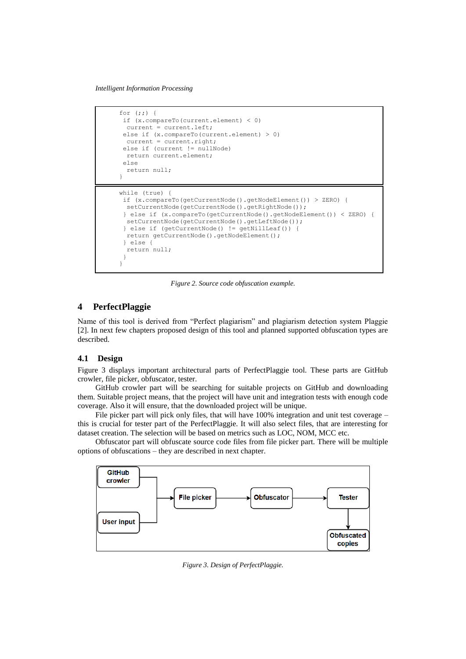*Intelligent Information Processing*

```
for (i; j) {
if (x.compareTo(current.element) < 0)
  current = current.left;
 else if (x.\text{compareTo (current.element) } > 0)current = current.right;
 else if (current != nullNode)
  return current.element;
else
  return null;
}
while (true) {
if (x.compareTo(getCurrentNode().getNodeElement()) > ZERO) {
 setCurrentNode(getCurrentNode().getRightNode());
 } else if (x.compareTo(getCurrentNode().getNodeElement()) < ZERO) {
  setCurrentNode(getCurrentNode().getLeftNode());
 } else if (getCurrentNode() != getNillLeaf()) {
  return getCurrentNode().getNodeElement();
 } else {
   return null;
 }
}
```
*Figure 2. Source code obfuscation example.*

# <span id="page-4-0"></span>**4 PerfectPlaggie**

Name of this tool is derived from "Perfect plagiarism" and plagiarism detection system Plaggie [\[2\].](#page-6-10) In next few chapters proposed design of this tool and planned supported obfuscation types are described.

## **4.1 Design**

[Figure 3](#page-4-1) displays important architectural parts of PerfectPlaggie tool. These parts are GitHub crowler, file picker, obfuscator, tester.

GitHub crowler part will be searching for suitable projects on GitHub and downloading them. Suitable project means, that the project will have unit and integration tests with enough code coverage. Also it will ensure, that the downloaded project will be unique.

File picker part will pick only files, that will have 100% integration and unit test coverage – this is crucial for tester part of the PerfectPlaggie. It will also select files, that are interesting for dataset creation. The selection will be based on metrics such as LOC, NOM, MCC etc.

Obfuscator part will obfuscate source code files from file picker part. There will be multiple options of obfuscations – they are described in next chapter.

<span id="page-4-1"></span>

*Figure 3. Design of PerfectPlaggie.*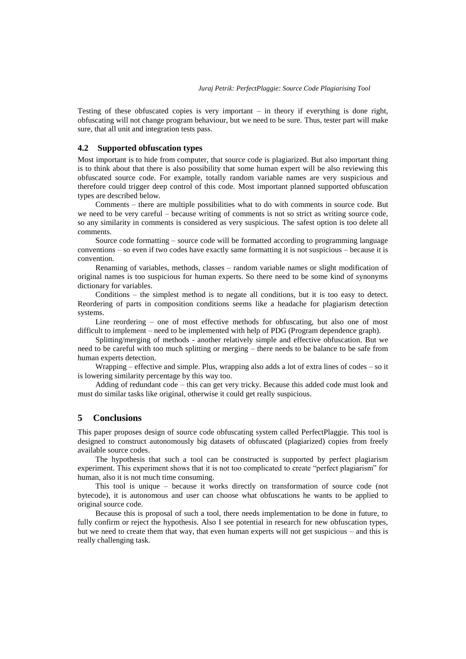Testing of these obfuscated copies is very important – in theory if everything is done right, obfuscating will not change program behaviour, but we need to be sure. Thus, tester part will make sure, that all unit and integration tests pass.

#### **4.2 Supported obfuscation types**

Most important is to hide from computer, that source code is plagiarized. But also important thing is to think about that there is also possibility that some human expert will be also reviewing this obfuscated source code. For example, totally random variable names are very suspicious and therefore could trigger deep control of this code. Most important planned supported obfuscation types are described below.

Comments – there are multiple possibilities what to do with comments in source code. But we need to be very careful – because writing of comments is not so strict as writing source code, so any similarity in comments is considered as very suspicious. The safest option is too delete all comments.

Source code formatting – source code will be formatted according to programming language conventions – so even if two codes have exactly same formatting it is not suspicious – because it is convention.

Renaming of variables, methods, classes – random variable names or slight modification of original names is too suspicious for human experts. So there need to be some kind of synonyms dictionary for variables.

Conditions – the simplest method is to negate all conditions, but it is too easy to detect. Reordering of parts in composition conditions seems like a headache for plagiarism detection systems.

Line reordering – one of most effective methods for obfuscating, but also one of most difficult to implement – need to be implemented with help of PDG (Program dependence graph).

Splitting/merging of methods - another relatively simple and effective obfuscation. But we need to be careful with too much splitting or merging – there needs to be balance to be safe from human experts detection.

Wrapping – effective and simple. Plus, wrapping also adds a lot of extra lines of codes – so it is lowering similarity percentage by this way too.

Adding of redundant code – this can get very tricky. Because this added code must look and must do similar tasks like original, otherwise it could get really suspicious.

# **5 Conclusions**

This paper proposes design of source code obfuscating system called PerfectPlaggie. This tool is designed to construct autonomously big datasets of obfuscated (plagiarized) copies from freely available source codes.

The hypothesis that such a tool can be constructed is supported by perfect plagiarism experiment. This experiment shows that it is not too complicated to create "perfect plagiarism" for human, also it is not much time consuming.

This tool is unique – because it works directly on transformation of source code (not bytecode), it is autonomous and user can choose what obfuscations he wants to be applied to original source code.

Because this is proposal of such a tool, there needs implementation to be done in future, to fully confirm or reject the hypothesis. Also I see potential in research for new obfuscation types, but we need to create them that way, that even human experts will not get suspicious – and this is really challenging task.